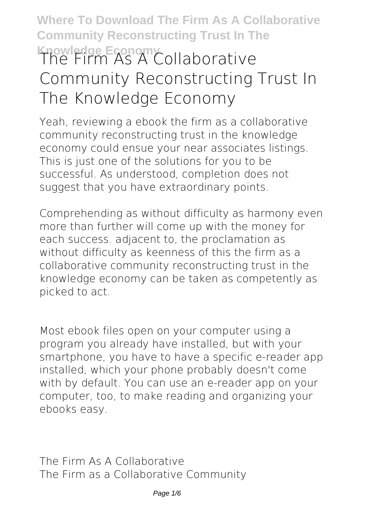# **Where To Download The Firm As A Collaborative Community Reconstructing Trust In The Knowledge Economy The Firm As A Collaborative Community Reconstructing Trust In The Knowledge Economy**

Yeah, reviewing a ebook **the firm as a collaborative community reconstructing trust in the knowledge economy** could ensue your near associates listings. This is just one of the solutions for you to be successful. As understood, completion does not suggest that you have extraordinary points.

Comprehending as without difficulty as harmony even more than further will come up with the money for each success. adjacent to, the proclamation as without difficulty as keenness of this the firm as a collaborative community reconstructing trust in the knowledge economy can be taken as competently as picked to act.

Most ebook files open on your computer using a program you already have installed, but with your smartphone, you have to have a specific e-reader app installed, which your phone probably doesn't come with by default. You can use an e-reader app on your computer, too, to make reading and organizing your ebooks easy.

**The Firm As A Collaborative** The Firm as a Collaborative Community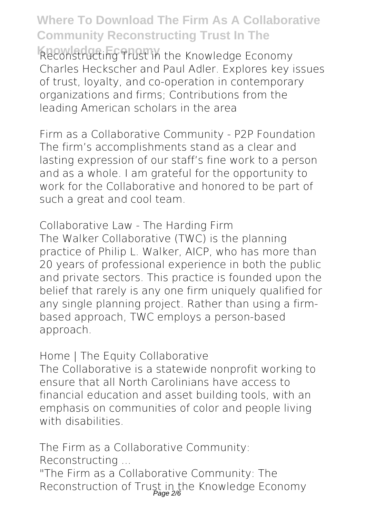**Knowledge Economy** Reconstructing Trust in the Knowledge Economy Charles Heckscher and Paul Adler. Explores key issues of trust, loyalty, and co-operation in contemporary organizations and firms; Contributions from the leading American scholars in the area

**Firm as a Collaborative Community - P2P Foundation** The firm's accomplishments stand as a clear and lasting expression of our staff's fine work to a person and as a whole. I am grateful for the opportunity to work for the Collaborative and honored to be part of such a great and cool team.

**Collaborative Law - The Harding Firm** The Walker Collaborative (TWC) is the planning practice of Philip L. Walker, AICP, who has more than 20 years of professional experience in both the public and private sectors. This practice is founded upon the belief that rarely is any one firm uniquely qualified for any single planning project. Rather than using a firmbased approach, TWC employs a person-based approach.

**Home | The Equity Collaborative**

The Collaborative is a statewide nonprofit working to ensure that all North Carolinians have access to financial education and asset building tools, with an emphasis on communities of color and people living with disabilities.

**The Firm as a Collaborative Community:**

**Reconstructing ...**

"The Firm as a Collaborative Community: The Reconstruction of Trust in the Knowledge Economy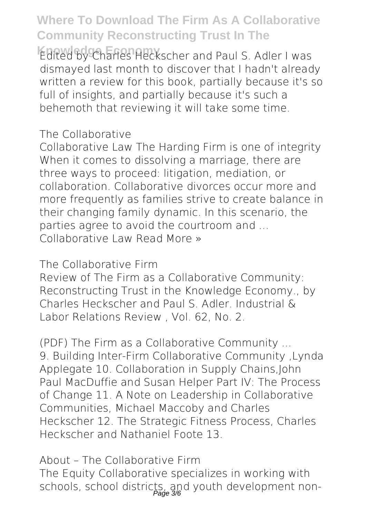**Edited by Charles Heckscher and Paul S. Adler I was** dismayed last month to discover that I hadn't already written a review for this book, partially because it's so full of insights, and partially because it's such a behemoth that reviewing it will take some time.

#### **The Collaborative**

Collaborative Law The Harding Firm is one of integrity When it comes to dissolving a marriage, there are three ways to proceed: litigation, mediation, or collaboration. Collaborative divorces occur more and more frequently as families strive to create balance in their changing family dynamic. In this scenario, the parties agree to avoid the courtroom and … Collaborative Law Read More »

**The Collaborative Firm**

Review of The Firm as a Collaborative Community: Reconstructing Trust in the Knowledge Economy., by Charles Heckscher and Paul S. Adler. Industrial & Labor Relations Review , Vol. 62, No. 2.

**(PDF) The Firm as a Collaborative Community ...** 9. Building Inter-Firm Collaborative Community ,Lynda Applegate 10. Collaboration in Supply Chains,John Paul MacDuffie and Susan Helper Part IV: The Process of Change 11. A Note on Leadership in Collaborative Communities, Michael Maccoby and Charles Heckscher 12. The Strategic Fitness Process, Charles Heckscher and Nathaniel Foote 13.

**About – The Collaborative Firm** The Equity Collaborative specializes in working with schools, school districts, and youth development non-<br>Page 3%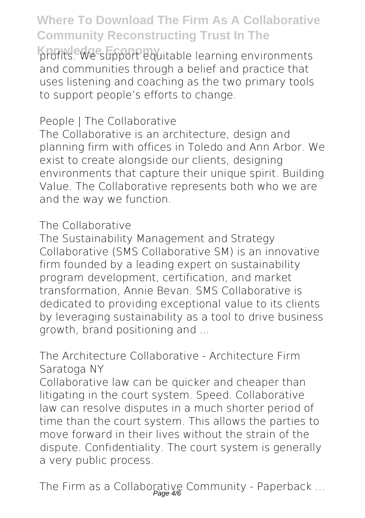profits. We support equitable learning environments and communities through a belief and practice that uses listening and coaching as the two primary tools to support people's efforts to change.

### **People | The Collaborative**

The Collaborative is an architecture, design and planning firm with offices in Toledo and Ann Arbor. We exist to create alongside our clients, designing environments that capture their unique spirit. Building Value. The Collaborative represents both who we are and the way we function.

#### **The Collaborative**

The Sustainability Management and Strategy Collaborative (SMS Collaborative SM) is an innovative firm founded by a leading expert on sustainability program development, certification, and market transformation, Annie Bevan. SMS Collaborative is dedicated to providing exceptional value to its clients by leveraging sustainability as a tool to drive business growth, brand positioning and ...

### **The Architecture Collaborative - Architecture Firm Saratoga NY**

Collaborative law can be quicker and cheaper than litigating in the court system. Speed. Collaborative law can resolve disputes in a much shorter period of time than the court system. This allows the parties to move forward in their lives without the strain of the dispute. Confidentiality. The court system is generally a very public process.

**The Firm as a Collaborative Community - Paperback ...** Page 4/6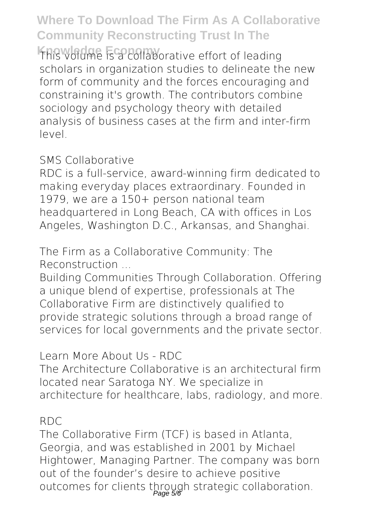This volume is a collaborative effort of leading scholars in organization studies to delineate the new form of community and the forces encouraging and constraining it's growth. The contributors combine sociology and psychology theory with detailed analysis of business cases at the firm and inter-firm level.

### **SMS Collaborative**

RDC is a full-service, award-winning firm dedicated to making everyday places extraordinary. Founded in 1979, we are a 150+ person national team headquartered in Long Beach, CA with offices in Los Angeles, Washington D.C., Arkansas, and Shanghai.

**The Firm as a Collaborative Community: The Reconstruction ...**

Building Communities Through Collaboration. Offering a unique blend of expertise, professionals at The Collaborative Firm are distinctively qualified to provide strategic solutions through a broad range of services for local governments and the private sector.

**Learn More About Us - RDC**

The Architecture Collaborative is an architectural firm located near Saratoga NY. We specialize in architecture for healthcare, labs, radiology, and more.

#### **RDC**

The Collaborative Firm (TCF) is based in Atlanta, Georgia, and was established in 2001 by Michael Hightower, Managing Partner. The company was born out of the founder's desire to achieve positive outcomes for clients through strategic collaboration.